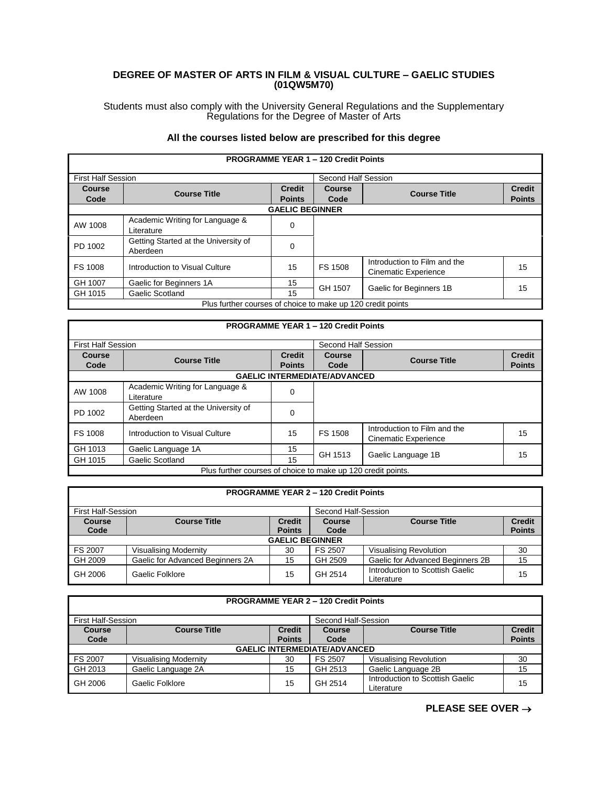## **DEGREE OF MASTER OF ARTS IN FILM & VISUAL CULTURE – GAELIC STUDIES (01QW5M70)**

Students must also comply with the University General Regulations and the Supplementary Regulations for the Degree of Master of Arts

## **All the courses listed below are prescribed for this degree**

| <b>PROGRAMME YEAR 1 - 120 Credit Points</b>                 |                                                  |                         |                       |                                                             |                                |  |
|-------------------------------------------------------------|--------------------------------------------------|-------------------------|-----------------------|-------------------------------------------------------------|--------------------------------|--|
| <b>First Half Session</b>                                   |                                                  |                         | Second Half Session   |                                                             |                                |  |
| <b>Course</b><br>Code                                       | <b>Course Title</b>                              | Credit<br><b>Points</b> | <b>Course</b><br>Code | <b>Course Title</b>                                         | <b>Credit</b><br><b>Points</b> |  |
| <b>GAELIC BEGINNER</b>                                      |                                                  |                         |                       |                                                             |                                |  |
| AW 1008                                                     | Academic Writing for Language &<br>Literature    | $\Omega$                |                       |                                                             |                                |  |
| PD 1002                                                     | Getting Started at the University of<br>Aberdeen | 0                       |                       |                                                             |                                |  |
| <b>FS 1008</b>                                              | Introduction to Visual Culture                   | 15                      | FS 1508               | Introduction to Film and the<br><b>Cinematic Experience</b> | 15                             |  |
| GH 1007                                                     | Gaelic for Beginners 1A                          | 15                      | GH 1507               | Gaelic for Beginners 1B                                     | 15                             |  |
| GH 1015                                                     | Gaelic Scotland                                  | 15                      |                       |                                                             |                                |  |
| Plus further courses of choice to make up 120 credit points |                                                  |                         |                       |                                                             |                                |  |

| <b>PROGRAMME YEAR 1 - 120 Credit Points</b>                  |                                                  |               |                     |                                                      |               |  |
|--------------------------------------------------------------|--------------------------------------------------|---------------|---------------------|------------------------------------------------------|---------------|--|
| <b>First Half Session</b>                                    |                                                  |               | Second Half Session |                                                      |               |  |
| Course                                                       | <b>Course Title</b>                              | <b>Credit</b> | <b>Course</b>       | <b>Course Title</b>                                  | <b>Credit</b> |  |
| Code                                                         |                                                  | <b>Points</b> | Code                |                                                      | <b>Points</b> |  |
| <b>GAELIC INTERMEDIATE/ADVANCED</b>                          |                                                  |               |                     |                                                      |               |  |
| AW 1008                                                      | Academic Writing for Language &<br>Literature    | 0             |                     |                                                      |               |  |
| PD 1002                                                      | Getting Started at the University of<br>Aberdeen | 0             |                     |                                                      |               |  |
| FS 1008                                                      | Introduction to Visual Culture                   | 15            | <b>FS 1508</b>      | Introduction to Film and the<br>Cinematic Experience | 15            |  |
| GH 1013                                                      | Gaelic Language 1A                               | 15            | GH 1513             | Gaelic Language 1B                                   | 15            |  |
| GH 1015                                                      | Gaelic Scotland                                  | 15            |                     |                                                      |               |  |
| Plus further courses of choice to make up 120 credit points. |                                                  |               |                     |                                                      |               |  |

| <b>PROGRAMME YEAR 2 - 120 Credit Points</b>      |                                  |                                |                |                                               |                                |  |  |
|--------------------------------------------------|----------------------------------|--------------------------------|----------------|-----------------------------------------------|--------------------------------|--|--|
| <b>First Half-Session</b><br>Second Half-Session |                                  |                                |                |                                               |                                |  |  |
| Course<br>Code                                   | <b>Course Title</b>              | <b>Credit</b><br><b>Points</b> | Course<br>Code | <b>Course Title</b>                           | <b>Credit</b><br><b>Points</b> |  |  |
| <b>GAELIC BEGINNER</b>                           |                                  |                                |                |                                               |                                |  |  |
| FS 2007                                          | <b>Visualising Modernity</b>     | 30                             | FS 2507        | <b>Visualising Revolution</b>                 | 30                             |  |  |
| GH 2009                                          | Gaelic for Advanced Beginners 2A | 15                             | GH 2509        | Gaelic for Advanced Beginners 2B              | 15                             |  |  |
| GH 2006                                          | Gaelic Folklore                  | 15                             | GH 2514        | Introduction to Scottish Gaelic<br>Literature | 15                             |  |  |

| <b>PROGRAMME YEAR 2 - 120 Credit Points</b> |                                           |                                |                |                                               |                                |  |  |
|---------------------------------------------|-------------------------------------------|--------------------------------|----------------|-----------------------------------------------|--------------------------------|--|--|
|                                             | First Half-Session<br>Second Half-Session |                                |                |                                               |                                |  |  |
| <b>Course</b><br>Code                       | <b>Course Title</b>                       | <b>Credit</b><br><b>Points</b> | Course<br>Code | <b>Course Title</b>                           | <b>Credit</b><br><b>Points</b> |  |  |
| <b>GAELIC INTERMEDIATE/ADVANCED</b>         |                                           |                                |                |                                               |                                |  |  |
| FS 2007                                     | Visualising Modernity                     | 30                             | FS 2507        | Visualising Revolution                        | 30                             |  |  |
| GH 2013                                     | Gaelic Language 2A                        | 15                             | GH 2513        | Gaelic Language 2B                            | 15                             |  |  |
| GH 2006                                     | Gaelic Folklore                           | 15                             | GH 2514        | Introduction to Scottish Gaelic<br>Literature | 15                             |  |  |

**PLEASE SEE OVER** →